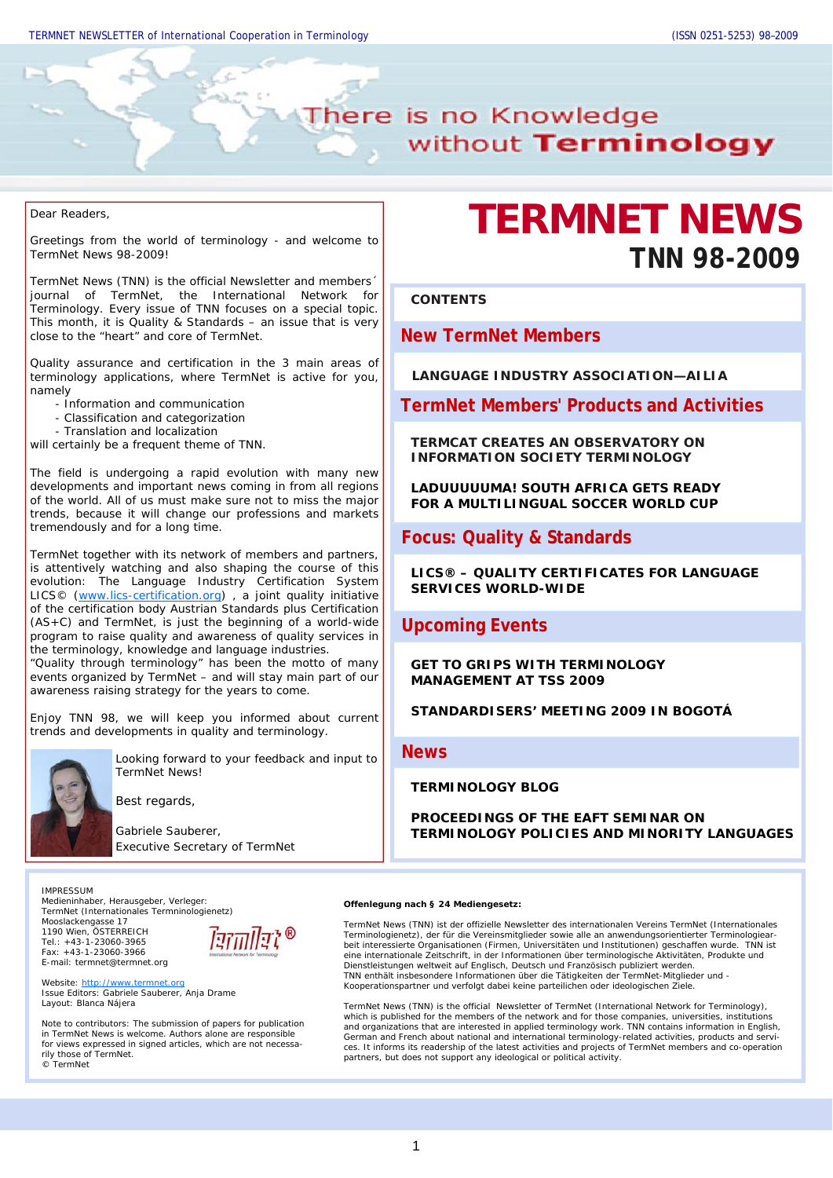## There is no Knowledge without Terminology

Dear Readers,

Greetings from the world of terminology - and welcome to TermNet News 98-2009!

TermNet News (TNN) is the official Newsletter and members´ journal of TermNet, the International Network for Terminology. Every issue of TNN focuses on a special topic. This month, it is Quality & Standards – an issue that is very close to the "heart" and core of TermNet.

Quality assurance and certification in the 3 main areas of terminology applications, where TermNet is active for you, namely

- Information and communication
- Classification and categorization
- Translation and localization

will certainly be a frequent theme of TNN.

The field is undergoing a rapid evolution with many new developments and important news coming in from all regions of the world. All of us must make sure not to miss the major trends, because it will change our professions and markets tremendously and for a long time.

TermNet together with its network of members and partners, is attentively watching and also shaping the course of this evolution: The Language Industry Certification System LICS<sup>©</sup> (www.lics-certification.org), a joint quality initiative of the certification body Austrian Standards plus Certification  $(AS+C)$  and TermNet, is just the beginning of a world-wide program to raise quality and awareness of quality services in the terminology, knowledge and language industries.

"Quality through terminology" has been the motto of many events organized by TermNet – and will stay main part of our awareness raising strategy for the years to come.

Enjoy TNN 98, we will keep you informed about current trends and developments in quality and terminology.



Looking forward to your feedback and input to TermNet News!

Best regards,

*Gabriele Sauberer, Executive Secretary of TermNet*

IMPRESSUM

Medieninhaber, Herausgeber, Verleger: TermNet (Internationales Termninologienetz) Mooslackengasse 17 1190 Wien, ÖSTERREICH Tel.: +43-1-23060-3965 Fax: +43-1-23060-3966 E-mail: termnet@termnet.org



Website: http://www.termnet.org Issue Editors: Gabriele Sauberer, Anja Drame Layout: Blanca Nájera

Note to contributors: The submission of papers for publication in TermNet News is welcome. Authors alone are responsible for views expressed in signed articles, which are not necessarily those of TermNet. © TermNet

# **TERMNET NEWS TNN 98-2009**

**CONTENTS** 

**New TermNet Members**

**LANGUAGE INDUSTRY ASSOCIATION—AILIA** 

**TermNet Members' Products and Activities**

**TERMCAT CREATES AN OBSERVATORY ON INFORMATION SOCIETY TERMINOLOGY** 

**LADUUUUUMA! SOUTH AFRICA GETS READY FOR A MULTILINGUAL SOCCER WORLD CUP** 

**Focus: Quality & Standards** 

**LICS® – QUALITY CERTIFICATES FOR LANGUAGE SERVICES WORLD-WIDE** 

#### **Upcoming Events**

**GET TO GRIPS WITH TERMINOLOGY MANAGEMENT AT TSS 2009**

**STANDARDISERS' MEETING 2009 IN BOGOTÁ**

**News**

**TERMINOLOGY BLOG** 

**PROCEEDINGS OF THE EAFT SEMINAR ON TERMINOLOGY POLICIES AND MINORITY LANGUAGES**

#### **Offenlegung nach § 24 Mediengesetz:**

TermNet News (TNN) ist der offizielle Newsletter des internationalen Vereins TermNet (Internationales Terminologienetz), der für die Vereinsmitglieder sowie alle an anwendungsorientierter Terminologiearbeit interessierte Organisationen (Firmen, Universitäten und Institutionen) geschaffen wurde. TNN ist eine internationale Zeitschrift, in der Informationen über terminologische Aktivitäten, Produkte und Dienstleistungen weltweit auf Englisch, Deutsch und Französisch publiziert werden. TNN enthält insbesondere Informationen über die Tätigkeiten der TermNet-Mitglieder und - Kooperationspartner und verfolgt dabei keine parteilichen oder ideologischen Ziele.

TermNet News (TNN) is the official Newsletter of TermNet (International Network for Terminology), which is published for the members of the network and for those companies, universities, institutions and organizations that are interested in applied terminology work. TNN contains information in English, German and French about national and international terminology-related activities, products and services. It informs its readership of the latest activities and projects of TermNet members and co-operation partners, but does not support any ideological or political activity.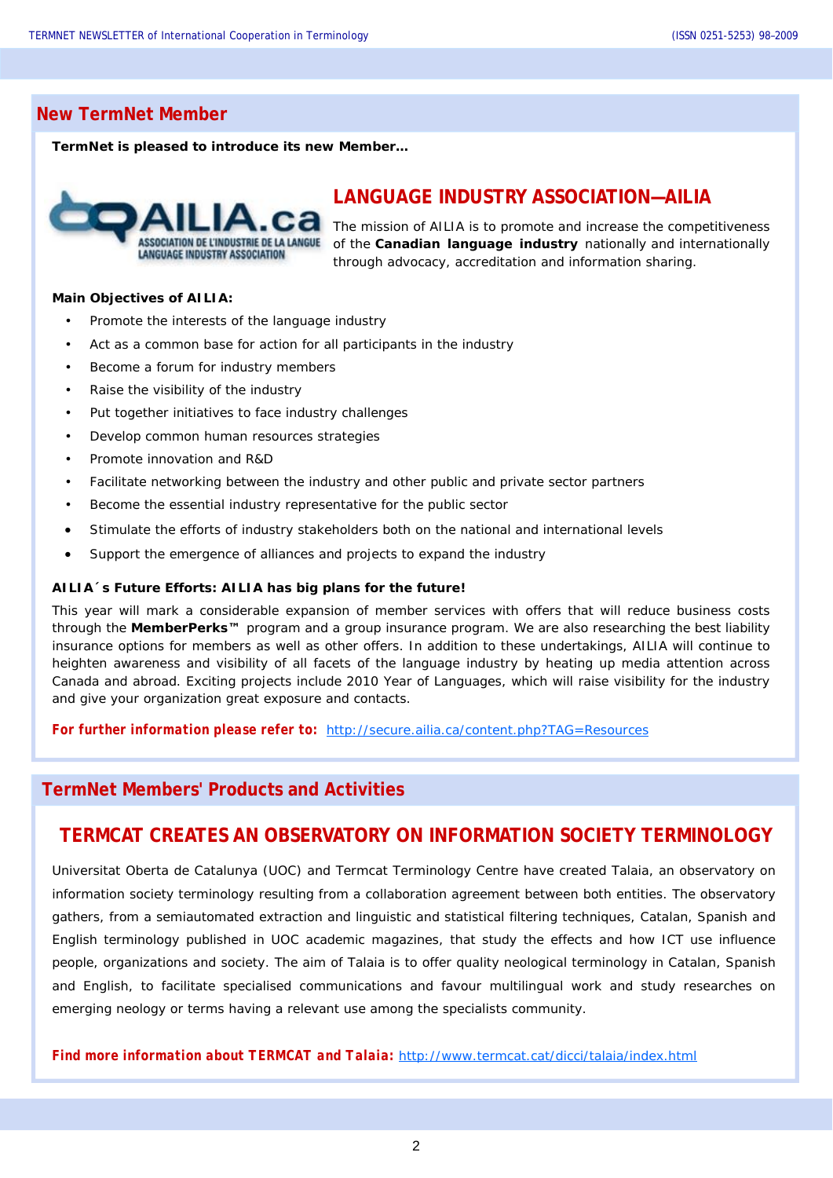## **New TermNet Member**

**TermNet is pleased to introduce its new Member…** 



## **LANGUAGE INDUSTRY ASSOCIATION—AILIA**

The mission of AILIA is to promote and increase the competitiveness of the **Canadian language industry** nationally and internationally through advocacy, accreditation and information sharing.

#### **Main Objectives of AILIA:**

- Promote the interests of the language industry
- Act as a common base for action for all participants in the industry
- Become a forum for industry members
- Raise the visibility of the industry
- Put together initiatives to face industry challenges
- Develop common human resources strategies
- Promote innovation and R&D
- Facilitate networking between the industry and other public and private sector partners
- Become the essential industry representative for the public sector
- Stimulate the efforts of industry stakeholders both on the national and international levels
- Support the emergence of alliances and projects to expand the industry

#### **AILIA´s Future Efforts: AILIA has big plans for the future!**

This year will mark a considerable expansion of member services with offers that will reduce business costs through the **MemberPerks™** program and a group insurance program. We are also researching the best liability insurance options for members as well as other offers. In addition to these undertakings, AILIA will continue to heighten awareness and visibility of all facets of the language industry by heating up media attention across Canada and abroad. Exciting projects include *2010 Year of Languages,* which will raise visibility for the industry and give your organization great exposure and contacts.

*For further information please refer to:* http://secure.ailia.ca/content.php?TAG=Resources

## **TermNet Members' Products and Activities**

## **TERMCAT CREATES AN OBSERVATORY ON INFORMATION SOCIETY TERMINOLOGY**

Universitat Oberta de Catalunya (UOC) and Termcat Terminology Centre have created Talaia, an observatory on information society terminology resulting from a collaboration agreement between both entities. The observatory gathers, from a semiautomated extraction and linguistic and statistical filtering techniques, Catalan, Spanish and English terminology published in UOC academic magazines, that study the effects and how ICT use influence people, organizations and society. The aim of Talaia is to offer quality neological terminology in Catalan, Spanish and English, to facilitate specialised communications and favour multilingual work and study researches on emerging neology or terms having a relevant use among the specialists community.

*Find more information about TERMCAT and Talaia:* http://www.termcat.cat/dicci/talaia/index.html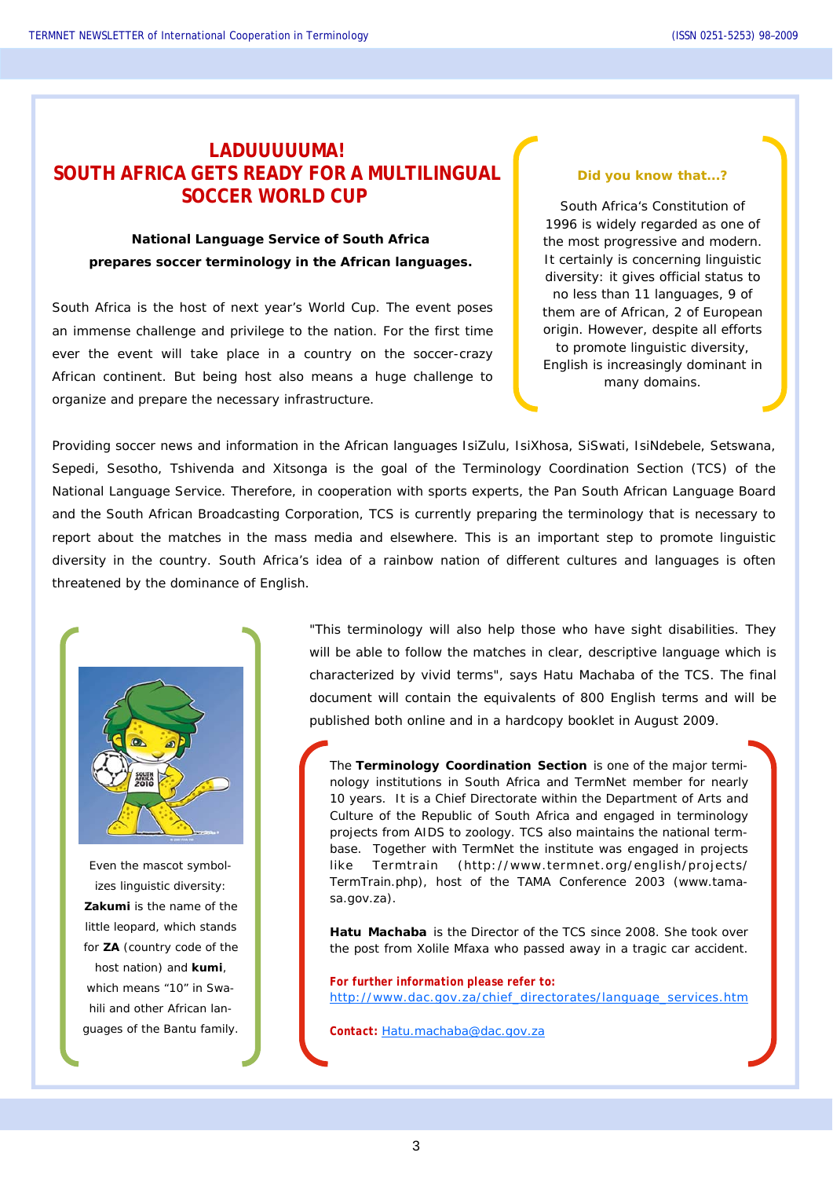## **LADUUUUUMA! SOUTH AFRICA GETS READY FOR A MULTILINGUAL SOCCER WORLD CUP**

### **National Language Service of South Africa prepares soccer terminology in the African languages.**

South Africa is the host of next year's World Cup. The event poses an immense challenge and privilege to the nation. For the first time ever the event will take place in a country on the soccer-crazy African continent. But being host also means a huge challenge to organize and prepare the necessary infrastructure.

#### *Did you know that...?*

*South Africa's Constitution of 1996 is widely regarded as one of the most progressive and modern. It certainly is concerning linguistic diversity: it gives official status to no less than 11 languages, 9 of them are of African, 2 of European origin. However, despite all efforts to promote linguistic diversity, English is increasingly dominant in many domains.* 

Providing soccer news and information in the African languages IsiZulu, IsiXhosa, SiSwati, IsiNdebele, Setswana, Sepedi, Sesotho, Tshivenda and Xitsonga is the goal of the Terminology Coordination Section (TCS) of the National Language Service. Therefore, in cooperation with sports experts, the Pan South African Language Board and the South African Broadcasting Corporation, TCS is currently preparing the terminology that is necessary to report about the matches in the mass media and elsewhere. This is an important step to promote linguistic diversity in the country. South Africa's idea of a rainbow nation of different cultures and languages is often threatened by the dominance of English.



*Even the mascot symbolizes linguistic diversity: Zakumi is the name of the little leopard, which stands for ZA (country code of the host nation) and kumi, which means "10" in Swahili and other African languages of the Bantu family.* 

"This terminology will also help those who have sight disabilities. They will be able to follow the matches in clear, descriptive language which is characterized by vivid terms", says Hatu Machaba of the TCS. The final document will contain the equivalents of 800 English terms and will be published both online and in a hardcopy booklet in August 2009.

*The Terminology Coordination Section is one of the major terminology institutions in South Africa and TermNet member for nearly 10 years. It is a Chief Directorate within the Department of Arts and Culture of the Republic of South Africa and engaged in terminology projects from AIDS to zoology. TCS also maintains the national termbase. Together with TermNet the institute was engaged in projects like Termtrain (http://www.termnet.org/english/projects/ TermTrain.php), host of the TAMA Conference 2003 (www.tamasa.gov.za).* 

*Hatu Machaba is the Director of the TCS since 2008. She took over the post from Xolile Mfaxa who passed away in a tragic car accident.* 

*For further information please refer to:*  http://www.dac.gov.za/chief\_directorates/language\_services.htm

*Contact: Hatu.machaba@dac.gov.za*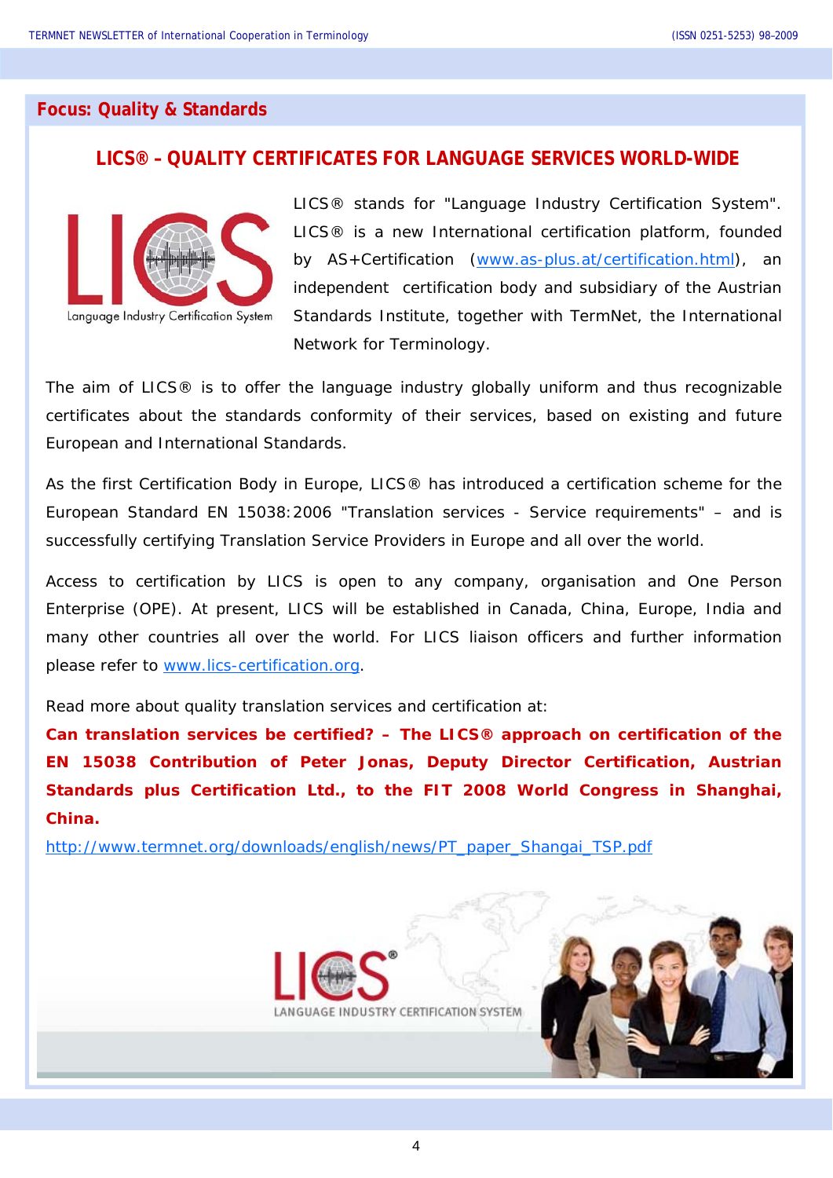## **Focus: Quality & Standards**

## **LICS® – QUALITY CERTIFICATES FOR LANGUAGE SERVICES WORLD-WIDE**



LICS® stands for "Language Industry Certification System". LICS® is a new International certification platform, founded by AS+Certification (www.as-plus.at/certification.html), an independent certification body and subsidiary of the Austrian Standards Institute, together with TermNet, the International Network for Terminology.

The aim of LICS® is to offer the language industry globally uniform and thus recognizable certificates about the standards conformity of their services, based on existing and future European and International Standards.

As the first Certification Body in Europe, LICS® has introduced a certification scheme for the European Standard EN 15038:2006 "Translation services - Service requirements" – and is successfully certifying Translation Service Providers in Europe and all over the world.

Access to certification by LICS is open to any company, organisation and One Person Enterprise (OPE). At present, LICS will be established in Canada, China, Europe, India and many other countries all over the world. For LICS liaison officers and further information please refer to www.lics-certification.org.

Read more about quality translation services and certification at:

**Can translation services be certified? – The LICS® approach on certification of the EN 15038 Contribution of Peter Jonas, Deputy Director Certification, Austrian Standards plus Certification Ltd., to the FIT 2008 World Congress in Shanghai, China.** 

http://www.termnet.org/downloads/english/news/PT\_paper\_Shangai\_TSP.pdf

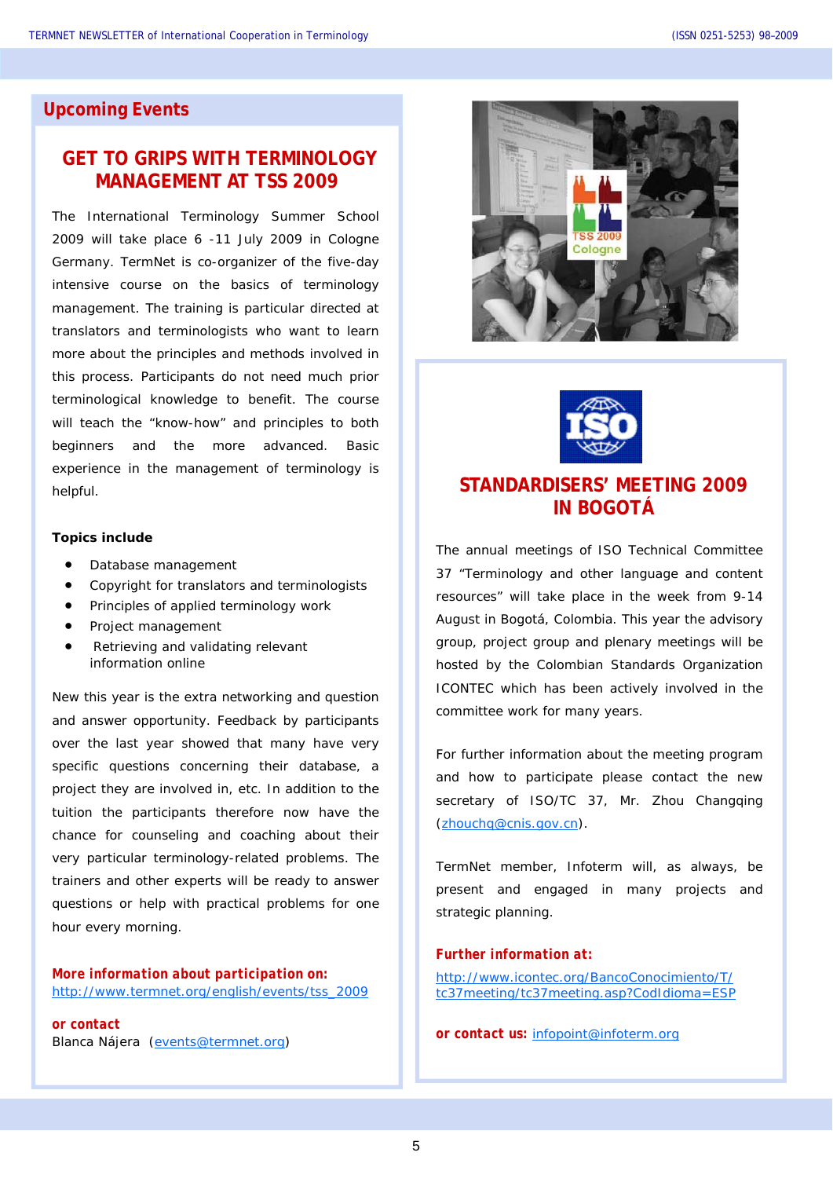#### **Upcoming Events**

## **GET TO GRIPS WITH TERMINOLOGY MANAGEMENT AT TSS 2009**

The International Terminology Summer School 2009 will take place 6 -11 July 2009 in Cologne Germany. TermNet is co-organizer of the five-day intensive course on the basics of terminology management. The training is particular directed at translators and terminologists who want to learn more about the principles and methods involved in this process. Participants do not need much prior terminological knowledge to benefit. The course will teach the "know-how" and principles to both beginners and the more advanced. Basic experience in the management of terminology is helpful.

#### **Topics include**

- Database management
- Copyright for translators and terminologists
- Principles of applied terminology work
- Project management
- Retrieving and validating relevant information online

New this year is the extra networking and question and answer opportunity. Feedback by participants over the last year showed that many have very specific questions concerning their database, a project they are involved in, etc. In addition to the tuition the participants therefore now have the chance for counseling and coaching about their very particular terminology-related problems. The trainers and other experts will be ready to answer questions or help with practical problems for one hour every morning.

*More information about participation on:*  http://www.termnet.org/english/events/tss\_2009

*or contact*  Blanca Nájera (events@termnet.org)





## **STANDARDISERS' MEETING 2009 IN BOGOTÁ**

The annual meetings of ISO Technical Committee 37 "Terminology and other language and content resources" will take place in the week from 9-14 August in Bogotá, Colombia. This year the advisory group, project group and plenary meetings will be hosted by the Colombian Standards Organization ICONTEC which has been actively involved in the committee work for many years.

For further information about the meeting program and how to participate please contact the new secretary of ISO/TC 37, Mr. Zhou Changqing (zhouchq@cnis.gov.cn).

TermNet member, Infoterm will, as always, be present and engaged in many projects and strategic planning.

#### *Further information at:*

http://www.icontec.org/BancoConocimiento/T/ tc37meeting/tc37meeting.asp?CodIdioma=ESP

*or contact us:* infopoint@infoterm.org